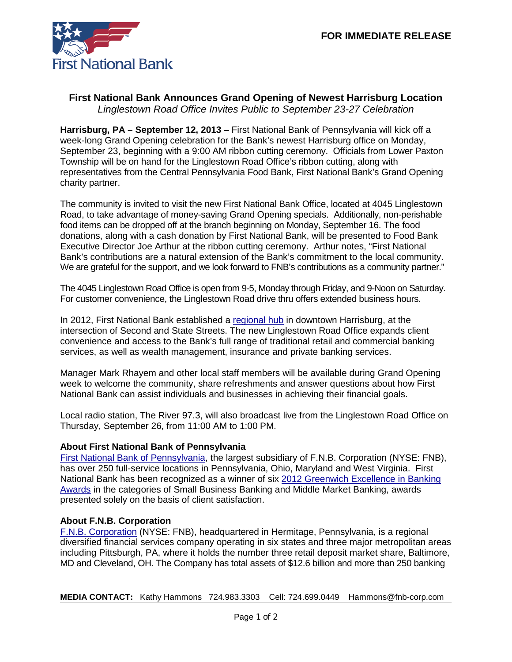

## **First National Bank Announces Grand Opening of Newest Harrisburg Location** *Linglestown Road Office Invites Public to September 23-27 Celebration*

**Harrisburg, PA – September 12, 2013** – First National Bank of Pennsylvania will kick off a week-long Grand Opening celebration for the Bank's newest Harrisburg office on Monday, September 23, beginning with a 9:00 AM ribbon cutting ceremony. Officials from Lower Paxton Township will be on hand for the Linglestown Road Office's ribbon cutting, along with representatives from the Central Pennsylvania Food Bank, First National Bank's Grand Opening charity partner.

The community is invited to visit the new First National Bank Office, located at 4045 Linglestown Road, to take advantage of money-saving Grand Opening specials. Additionally, non-perishable food items can be dropped off at the branch beginning on Monday, September 16. The food donations, along with a cash donation by First National Bank, will be presented to Food Bank Executive Director Joe Arthur at the ribbon cutting ceremony. Arthur notes, "First National Bank's contributions are a natural extension of the Bank's commitment to the local community. We are grateful for the support, and we look forward to FNB's contributions as a community partner."

The 4045 Linglestown Road Office is open from 9-5, Monday through Friday, and 9-Noon on Saturday. For customer convenience, the Linglestown Road drive thru offers extended business hours.

In 2012, First National Bank established a [regional hub](https://www.fnb-online.com/News/2012/September/September132012-3.aspx) in downtown Harrisburg, at the intersection of Second and State Streets. The new Linglestown Road Office expands client convenience and access to the Bank's full range of traditional retail and commercial banking services, as well as wealth management, insurance and private banking services.

Manager Mark Rhayem and other local staff members will be available during Grand Opening week to welcome the community, share refreshments and answer questions about how First National Bank can assist individuals and businesses in achieving their financial goals.

Local radio station, The River 97.3, will also broadcast live from the Linglestown Road Office on Thursday, September 26, from 11:00 AM to 1:00 PM.

## **About First National Bank of Pennsylvania**

[First National Bank of Pennsylvania,](https://www.fnb-online.com/) the largest subsidiary of F.N.B. Corporation (NYSE: FNB), has over 250 full-service locations in Pennsylvania, Ohio, Maryland and West Virginia. First National Bank has been recognized as a winner of six [2012 Greenwich Excellence in Banking](https://www.fnb-online.com/News/2013/February/February212013.aspx)  [Awards](https://www.fnb-online.com/News/2013/February/February212013.aspx) in the categories of Small Business Banking and Middle Market Banking, awards presented solely on the basis of client satisfaction.

## **About F.N.B. Corporation**

[F.N.B. Corporation](http://www.fnbcorporation.com/) (NYSE: FNB), headquartered in Hermitage, Pennsylvania, is a regional diversified financial services company operating in six states and three major metropolitan areas including Pittsburgh, PA, where it holds the number three retail deposit market share, Baltimore, MD and Cleveland, OH. The Company has total assets of \$12.6 billion and more than 250 banking

**MEDIA CONTACT:** Kathy Hammons 724.983.3303 Cell: 724.699.0449 Hammons@fnb-corp.com